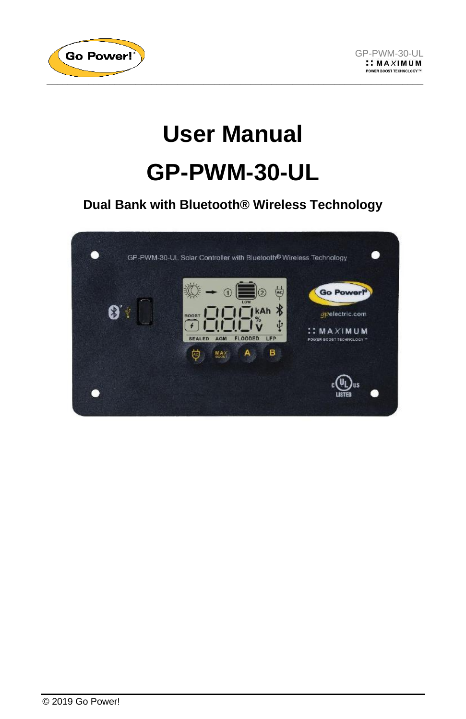



# **User Manual GP-PWM-30-UL**

**Dual Bank with Bluetooth® Wireless Technology**

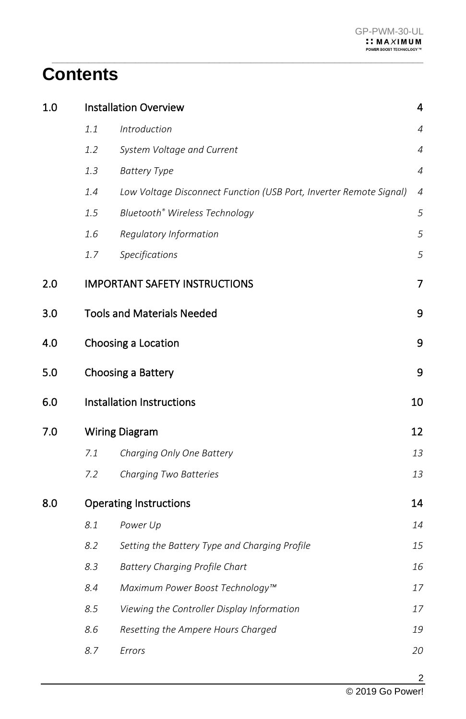## **Contents**

| 1.0 | <b>Installation Overview</b> |                                                                    | 4              |
|-----|------------------------------|--------------------------------------------------------------------|----------------|
|     | 1.1                          | <b>Introduction</b>                                                | $\overline{4}$ |
|     | 1.2                          | System Voltage and Current                                         | $\overline{4}$ |
|     | 1.3                          | <b>Battery Type</b>                                                | $\overline{4}$ |
|     | $1.4\,$                      | Low Voltage Disconnect Function (USB Port, Inverter Remote Signal) | $\overline{4}$ |
|     | 1.5                          | Bluetooth® Wireless Technology                                     | 5              |
|     | 1.6                          | Regulatory Information                                             | 5              |
|     | 1.7                          | Specifications                                                     | 5              |
| 2.0 |                              | <b>IMPORTANT SAFETY INSTRUCTIONS</b>                               | 7              |
| 3.0 |                              | <b>Tools and Materials Needed</b>                                  | 9              |
| 4.0 |                              | Choosing a Location                                                | 9              |
| 5.0 | 9<br>Choosing a Battery      |                                                                    |                |
| 6.0 |                              | Installation Instructions                                          | 10             |
| 7.0 |                              | <b>Wiring Diagram</b>                                              | 12             |
|     | 7.1                          | Charging Only One Battery                                          | 13             |
|     | 7.2                          | Charging Two Batteries                                             | 13             |
| 8.0 |                              | <b>Operating Instructions</b>                                      | 14             |
|     | 8.1                          | Power Up                                                           | 14             |
|     | 8.2                          | Setting the Battery Type and Charging Profile                      | 15             |
|     | 8.3                          | <b>Battery Charging Profile Chart</b>                              | 16             |
|     | 8.4                          | Maximum Power Boost Technology™                                    | 17             |
|     | 8.5                          | Viewing the Controller Display Information                         | 17             |
|     | 8.6                          | Resetting the Ampere Hours Charged                                 | 19             |
|     | 8.7                          | Errors                                                             | 20             |

 $\_$  , and the set of the set of the set of the set of the set of the set of the set of the set of the set of the set of the set of the set of the set of the set of the set of the set of the set of the set of the set of th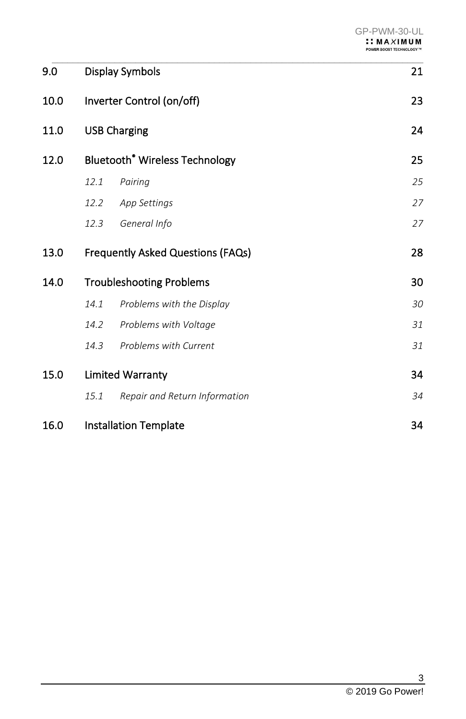| 9.0  |                                   | <b>Display Symbols</b>                           |    |
|------|-----------------------------------|--------------------------------------------------|----|
| 10.0 |                                   | Inverter Control (on/off)                        | 23 |
| 11.0 |                                   | <b>USB Charging</b>                              |    |
| 12.0 |                                   | <b>Bluetooth<sup>®</sup></b> Wireless Technology | 25 |
|      | 12.1                              | Pairing                                          | 25 |
|      | 12.2                              | App Settings                                     | 27 |
|      | 12.3                              | General Info                                     | 27 |
| 13.0 | Frequently Asked Questions (FAQs) |                                                  | 28 |
| 14.0 |                                   | <b>Troubleshooting Problems</b>                  | 30 |
|      | 14.1                              | Problems with the Display                        | 30 |
|      | 14.2                              | Problems with Voltage                            | 31 |
|      | 14.3                              | Problems with Current                            | 31 |
| 15.0 |                                   | <b>Limited Warranty</b>                          | 34 |
|      | 15.1                              | Repair and Return Information                    | 34 |
| 16.0 | <b>Installation Template</b>      |                                                  | 34 |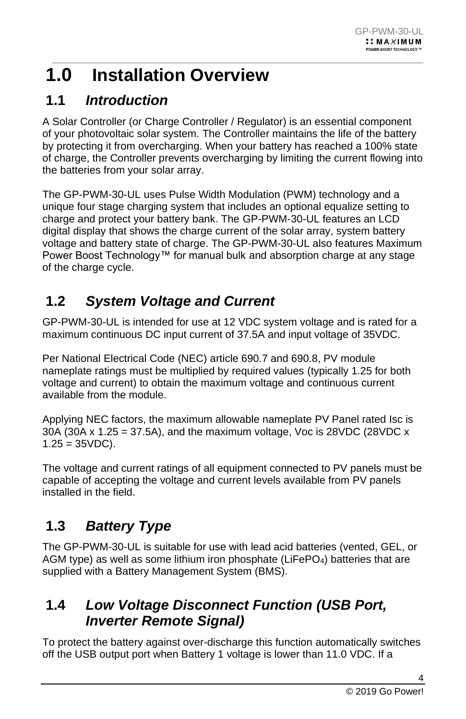### <span id="page-3-0"></span> $\_$  , and the set of the set of the set of the set of the set of the set of the set of the set of the set of the set of the set of the set of the set of the set of the set of the set of the set of the set of the set of th **1.0 Installation Overview**

### <span id="page-3-1"></span>**1.1** *Introduction*

A Solar Controller (or Charge Controller / Regulator) is an essential component of your photovoltaic solar system. The Controller maintains the life of the battery by protecting it from overcharging. When your battery has reached a 100% state of charge, the Controller prevents overcharging by limiting the current flowing into the batteries from your solar array.

The GP-PWM-30-UL uses Pulse Width Modulation (PWM) technology and a unique four stage charging system that includes an optional equalize setting to charge and protect your battery bank. The GP-PWM-30-UL features an LCD digital display that shows the charge current of the solar array, system battery voltage and battery state of charge. The GP-PWM-30-UL also features Maximum Power Boost Technology™ for manual bulk and absorption charge at any stage of the charge cycle.

### <span id="page-3-2"></span>**1.2** *System Voltage and Current*

GP-PWM-30-UL is intended for use at 12 VDC system voltage and is rated for a maximum continuous DC input current of 37.5A and input voltage of 35VDC.

Per National Electrical Code (NEC) article 690.7 and 690.8, PV module nameplate ratings must be multiplied by required values (typically 1.25 for both voltage and current) to obtain the maximum voltage and continuous current available from the module.

Applying NEC factors, the maximum allowable nameplate PV Panel rated Isc is 30A (30A x 1.25 = 37.5A), and the maximum voltage, Voc is 28VDC (28VDC x  $1.25 = 35VDC$ ).

The voltage and current ratings of all equipment connected to PV panels must be capable of accepting the voltage and current levels available from PV panels installed in the field.

### <span id="page-3-3"></span>**1.3** *Battery Type*

The GP-PWM-30-UL is suitable for use with lead acid batteries (vented, GEL, or AGM type) as well as some lithium iron phosphate (LiFePO4) batteries that are supplied with a Battery Management System (BMS).

### <span id="page-3-4"></span>**1.4** *Low Voltage Disconnect Function (USB Port, Inverter Remote Signal)*

To protect the battery against over-discharge this function automatically switches off the USB output port when Battery 1 voltage is lower than 11.0 VDC. If a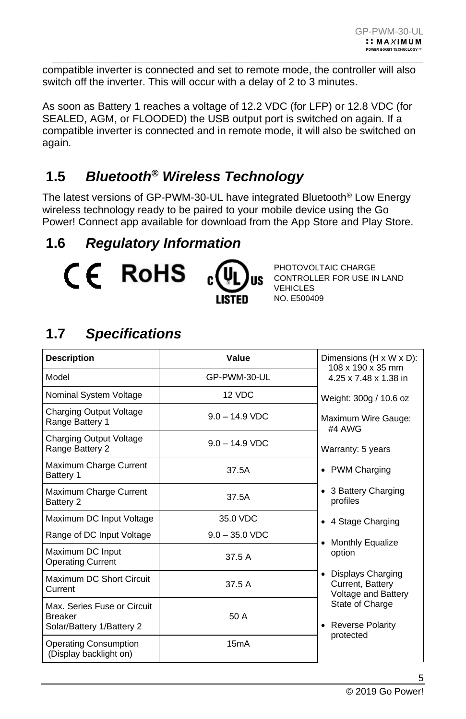compatible inverter is connected and set to remote mode, the controller will also switch off the inverter. This will occur with a delay of 2 to 3 minutes.

 $\_$  , and the set of the set of the set of the set of the set of the set of the set of the set of the set of the set of the set of the set of the set of the set of the set of the set of the set of the set of the set of th

As soon as Battery 1 reaches a voltage of 12.2 VDC (for LFP) or 12.8 VDC (for SEALED, AGM, or FLOODED) the USB output port is switched on again. If a compatible inverter is connected and in remote mode, it will also be switched on again.

### <span id="page-4-0"></span>**1.5** *Bluetooth® Wireless Technology*

The latest versions of GP-PWM-30-UL have integrated Bluetooth® Low Energy wireless technology ready to be paired to your mobile device using the Go Power! Connect app available for download from the App Store and Play Store.

### <span id="page-4-1"></span>**1.6** *Regulatory Information*



PHOTOVOLTAIC CHARGE CONTROLLER FOR USE IN LAND VEHICLES NO. E500409

### <span id="page-4-2"></span>**1.7** *Specifications*

| <b>Description</b>                                                          | Value            | Dimensions (H x W x D):<br>108 x 190 x 35 mm                              |  |
|-----------------------------------------------------------------------------|------------------|---------------------------------------------------------------------------|--|
| Model                                                                       | GP-PWM-30-UL     | 4.25 x 7.48 x 1.38 in                                                     |  |
| Nominal System Voltage                                                      | 12 VDC           | Weight: 300g / 10.6 oz                                                    |  |
| Charging Output Voltage<br>Range Battery 1                                  | $9.0 - 14.9$ VDC | Maximum Wire Gauge:<br>#4 AWG                                             |  |
| <b>Charging Output Voltage</b><br>Range Battery 2                           | $9.0 - 14.9$ VDC | Warranty: 5 years                                                         |  |
| Maximum Charge Current<br>Battery 1                                         | 37.5A            | • PWM Charging                                                            |  |
| Maximum Charge Current<br>Battery 2                                         | 37.5A            | • 3 Battery Charging<br>profiles                                          |  |
| Maximum DC Input Voltage                                                    | 35.0 VDC         | • 4 Stage Charging                                                        |  |
| Range of DC Input Voltage                                                   | $9.0 - 35.0$ VDC | Monthly Equalize                                                          |  |
| Maximum DC Input<br><b>Operating Current</b>                                | 37.5 A           | option                                                                    |  |
| Maximum DC Short Circuit<br>Current                                         | 37.5 A           | Displays Charging<br>$\bullet$<br>Current, Battery<br>Voltage and Battery |  |
| Max. Series Fuse or Circuit.<br><b>Breaker</b><br>Solar/Battery 1/Battery 2 | 50 A             | State of Charge<br>• Reverse Polarity<br>protected                        |  |
| <b>Operating Consumption</b><br>(Display backlight on)                      | 15mA             |                                                                           |  |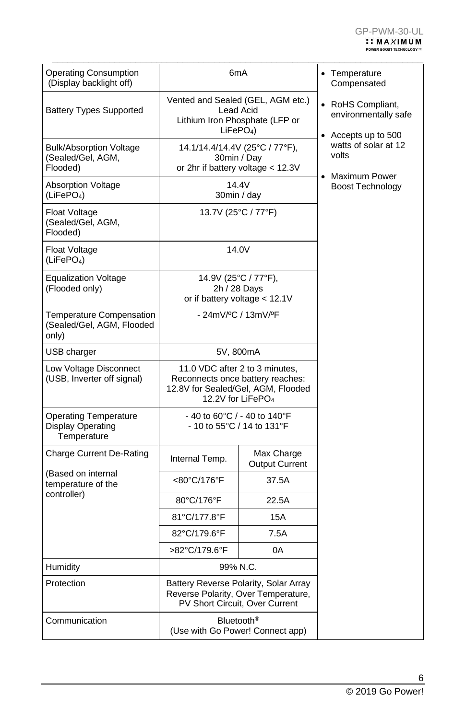| <b>Operating Consumption</b><br>(Display backlight off)          | 6mA                                                                                                                                       | • Temperature<br>Compensated        |                                                                                        |
|------------------------------------------------------------------|-------------------------------------------------------------------------------------------------------------------------------------------|-------------------------------------|----------------------------------------------------------------------------------------|
| <b>Battery Types Supported</b>                                   | Vented and Sealed (GEL, AGM etc.)<br><b>Lead Acid</b><br>Lithium Iron Phosphate (LFP or<br>$LiFePO4$ )                                    |                                     | • RoHS Compliant,<br>environmentally safe<br>• Accepts up to 500                       |
| <b>Bulk/Absorption Voltage</b><br>(Sealed/Gel, AGM,<br>Flooded)  | 14.1/14.4/14.4V (25°C / 77°F),<br>30min / Day<br>or 2hr if battery voltage < 12.3V                                                        |                                     | watts of solar at 12<br>volts<br>Maximum Power<br>$\bullet$<br><b>Boost Technology</b> |
| <b>Absorption Voltage</b><br>(LiFePO <sub>4</sub> )              | 14.4V<br>30min / day                                                                                                                      |                                     |                                                                                        |
| Float Voltage<br>(Sealed/Gel, AGM,<br>Flooded)                   |                                                                                                                                           | 13.7V (25°C / 77°F)                 |                                                                                        |
| Float Voltage<br>(LiFePO <sub>4</sub> )                          |                                                                                                                                           | 14.0V                               |                                                                                        |
| <b>Equalization Voltage</b><br>(Flooded only)                    | 14.9V (25°C / 77°F),<br>2h / 28 Days<br>or if battery voltage $<$ 12.1V                                                                   |                                     |                                                                                        |
| Temperature Compensation<br>(Sealed/Gel, AGM, Flooded<br>only)   | - 24mV/ºC / 13mV/ºF                                                                                                                       |                                     |                                                                                        |
| USB charger                                                      |                                                                                                                                           | 5V, 800mA                           |                                                                                        |
| Low Voltage Disconnect<br>(USB, Inverter off signal)             | 11.0 VDC after 2 to 3 minutes,<br>Reconnects once battery reaches:<br>12.8V for Sealed/Gel, AGM, Flooded<br>12.2V for LiFePO <sub>4</sub> |                                     |                                                                                        |
| <b>Operating Temperature</b><br>Display Operating<br>Temperature | - 40 to 60°C / - 40 to 140°F<br>- 10 to 55°C / 14 to 131°F                                                                                |                                     |                                                                                        |
| <b>Charge Current De-Rating</b>                                  | Internal Temp.                                                                                                                            | Max Charge<br><b>Output Current</b> |                                                                                        |
| (Based on internal<br>temperature of the                         | <80°C/176°F                                                                                                                               | 37.5A                               |                                                                                        |
| controller)                                                      | 80°C/176°F                                                                                                                                | 22.5A                               |                                                                                        |
|                                                                  | 81°C/177.8°F                                                                                                                              | 15A                                 |                                                                                        |
|                                                                  | 82°C/179.6°F                                                                                                                              | 7.5A                                |                                                                                        |
|                                                                  | >82°C/179.6°F<br>0A                                                                                                                       |                                     |                                                                                        |
| Humidity                                                         | 99% N.C.                                                                                                                                  |                                     |                                                                                        |
| Protection                                                       | Battery Reverse Polarity, Solar Array<br>Reverse Polarity, Over Temperature,<br>PV Short Circuit, Over Current                            |                                     |                                                                                        |
| Communication                                                    | Bluetooth <sup>®</sup><br>(Use with Go Power! Connect app)                                                                                |                                     |                                                                                        |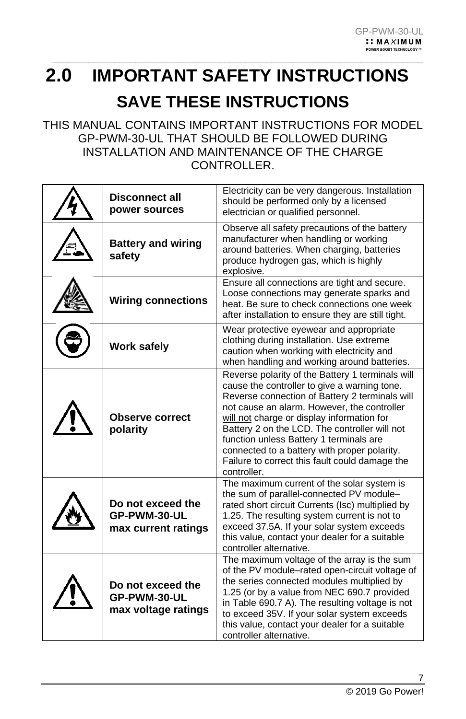## <span id="page-6-0"></span>**2.0 IMPORTANT SAFETY INSTRUCTIONS SAVE THESE INSTRUCTIONS**

 $\_$  , and the set of the set of the set of the set of the set of the set of the set of the set of the set of the set of the set of the set of the set of the set of the set of the set of the set of the set of the set of th

### THIS MANUAL CONTAINS IMPORTANT INSTRUCTIONS FOR MODEL GP-PWM-30-UL THAT SHOULD BE FOLLOWED DURING INSTALLATION AND MAINTENANCE OF THE CHARGE CONTROLLER.

| <b>Disconnect all</b><br>power sources                   | Electricity can be very dangerous. Installation<br>should be performed only by a licensed<br>electrician or qualified personnel.                                                                                                                                                                                                                                                                                                                             |
|----------------------------------------------------------|--------------------------------------------------------------------------------------------------------------------------------------------------------------------------------------------------------------------------------------------------------------------------------------------------------------------------------------------------------------------------------------------------------------------------------------------------------------|
| <b>Battery and wiring</b><br>safety                      | Observe all safety precautions of the battery<br>manufacturer when handling or working<br>around batteries. When charging, batteries<br>produce hydrogen gas, which is highly<br>explosive.                                                                                                                                                                                                                                                                  |
| <b>Wiring connections</b>                                | Ensure all connections are tight and secure.<br>Loose connections may generate sparks and<br>heat. Be sure to check connections one week<br>after installation to ensure they are still tight.                                                                                                                                                                                                                                                               |
| <b>Work safely</b>                                       | Wear protective eyewear and appropriate<br>clothing during installation. Use extreme<br>caution when working with electricity and<br>when handling and working around batteries.                                                                                                                                                                                                                                                                             |
| <b>Observe correct</b><br>polarity                       | Reverse polarity of the Battery 1 terminals will<br>cause the controller to give a warning tone.<br>Reverse connection of Battery 2 terminals will<br>not cause an alarm. However, the controller<br>will not charge or display information for<br>Battery 2 on the LCD. The controller will not<br>function unless Battery 1 terminals are<br>connected to a battery with proper polarity.<br>Failure to correct this fault could damage the<br>controller. |
| Do not exceed the<br>GP-PWM-30-UL<br>max current ratings | The maximum current of the solar system is<br>the sum of parallel-connected PV module-<br>rated short circuit Currents (Isc) multiplied by<br>1.25. The resulting system current is not to<br>exceed 37.5A. If your solar system exceeds<br>this value, contact your dealer for a suitable<br>controller alternative.                                                                                                                                        |
| Do not exceed the<br>GP-PWM-30-UL<br>max voltage ratings | The maximum voltage of the array is the sum<br>of the PV module–rated open-circuit voltage of<br>the series connected modules multiplied by<br>1.25 (or by a value from NEC 690.7 provided<br>in Table 690.7 A). The resulting voltage is not<br>to exceed 35V. If your solar system exceeds<br>this value, contact your dealer for a suitable<br>controller alternative.                                                                                    |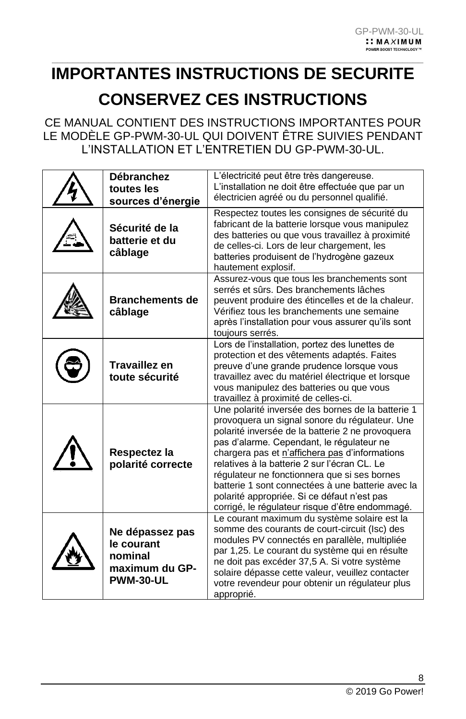### $\_$  , and the set of the set of the set of the set of the set of the set of the set of the set of the set of the set of the set of the set of the set of the set of the set of the set of the set of the set of the set of th **IMPORTANTES INSTRUCTIONS DE SECURITE CONSERVEZ CES INSTRUCTIONS**

CE MANUAL CONTIENT DES INSTRUCTIONS IMPORTANTES POUR LE MODÈLE GP-PWM-30-UL QUI DOIVENT ÊTRE SUIVIES PENDANT L'INSTALLATION ET L'ENTRETIEN DU GP-PWM-30-UL.

| <b>Débranchez</b>                                                              | L'électricité peut être très dangereuse.                                                                                                                                                                                                                                                                                                                                                                                                                                                                      |
|--------------------------------------------------------------------------------|---------------------------------------------------------------------------------------------------------------------------------------------------------------------------------------------------------------------------------------------------------------------------------------------------------------------------------------------------------------------------------------------------------------------------------------------------------------------------------------------------------------|
|                                                                                | L'installation ne doit être effectuée que par un                                                                                                                                                                                                                                                                                                                                                                                                                                                              |
| toutes les                                                                     |                                                                                                                                                                                                                                                                                                                                                                                                                                                                                                               |
| sources d'énergie                                                              | électricien agréé ou du personnel qualifié.                                                                                                                                                                                                                                                                                                                                                                                                                                                                   |
| Sécurité de la<br>batterie et du<br>câblage                                    | Respectez toutes les consignes de sécurité du<br>fabricant de la batterie lorsque vous manipulez<br>des batteries ou que vous travaillez à proximité<br>de celles-ci. Lors de leur chargement, les<br>batteries produisent de l'hydrogène gazeux<br>hautement explosif.                                                                                                                                                                                                                                       |
| <b>Branchements de</b><br>câblage                                              | Assurez-vous que tous les branchements sont<br>serrés et sûrs. Des branchements lâches<br>peuvent produire des étincelles et de la chaleur.<br>Vérifiez tous les branchements une semaine<br>après l'installation pour vous assurer qu'ils sont<br>toujours serrés.                                                                                                                                                                                                                                           |
| <b>Travaillez en</b><br>toute sécurité                                         | Lors de l'installation, portez des lunettes de<br>protection et des vêtements adaptés. Faites<br>preuve d'une grande prudence lorsque vous<br>travaillez avec du matériel électrique et lorsque<br>vous manipulez des batteries ou que vous<br>travaillez à proximité de celles-ci.                                                                                                                                                                                                                           |
| Respectez la<br>polarité correcte                                              | Une polarité inversée des bornes de la batterie 1<br>provoquera un signal sonore du régulateur. Une<br>polarité inversée de la batterie 2 ne provoquera<br>pas d'alarme. Cependant, le régulateur ne<br>chargera pas et n'affichera pas d'informations<br>relatives à la batterie 2 sur l'écran CL. Le<br>régulateur ne fonctionnera que si ses bornes<br>batterie 1 sont connectées à une batterie avec la<br>polarité appropriée. Si ce défaut n'est pas<br>corrigé, le régulateur risque d'être endommagé. |
| Ne dépassez pas<br>le courant<br>nominal<br>maximum du GP-<br><b>PWM-30-UL</b> | Le courant maximum du système solaire est la<br>somme des courants de court-circuit (Isc) des<br>modules PV connectés en parallèle, multipliée<br>par 1,25. Le courant du système qui en résulte<br>ne doit pas excéder 37,5 A. Si votre système<br>solaire dépasse cette valeur, veuillez contacter<br>votre revendeur pour obtenir un régulateur plus<br>approprié.                                                                                                                                         |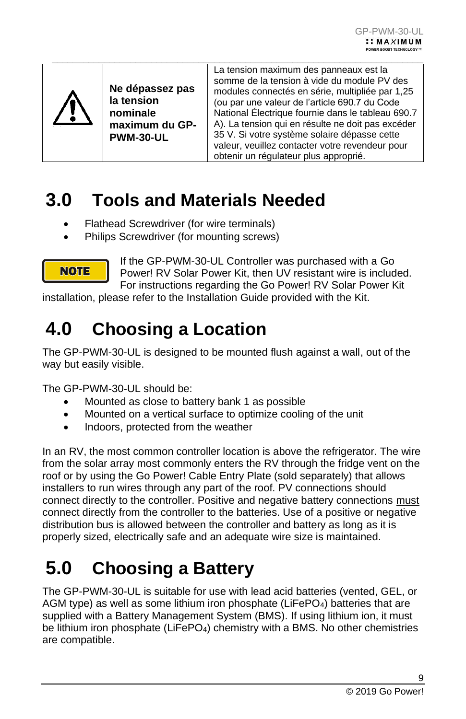|  | Ne dépassez pas<br>la tension<br>nominale<br>maximum du GP-<br><b>PWM-30-UL</b> | La tension maximum des panneaux est la<br>somme de la tension à vide du module PV des<br>modules connectés en série, multipliée par 1,25<br>(ou par une valeur de l'article 690.7 du Code<br>National Électrique fournie dans le tableau 690.7<br>A). La tension qui en résulte ne doit pas excéder<br>35 V. Si votre système solaire dépasse cette<br>valeur, veuillez contacter votre revendeur pour<br>obtenir un régulateur plus approprié. |
|--|---------------------------------------------------------------------------------|-------------------------------------------------------------------------------------------------------------------------------------------------------------------------------------------------------------------------------------------------------------------------------------------------------------------------------------------------------------------------------------------------------------------------------------------------|
|--|---------------------------------------------------------------------------------|-------------------------------------------------------------------------------------------------------------------------------------------------------------------------------------------------------------------------------------------------------------------------------------------------------------------------------------------------------------------------------------------------------------------------------------------------|

 $\_$  , and the set of the set of the set of the set of the set of the set of the set of the set of the set of the set of the set of the set of the set of the set of the set of the set of the set of the set of the set of th

## <span id="page-8-0"></span>**3.0 Tools and Materials Needed**

- Flathead Screwdriver (for wire terminals)
- Philips Screwdriver (for mounting screws)



If the GP-PWM-30-UL Controller was purchased with a Go Power! RV Solar Power Kit, then UV resistant wire is included. For instructions regarding the Go Power! RV Solar Power Kit

<span id="page-8-1"></span>installation, please refer to the Installation Guide provided with the Kit.

## **4.0 Choosing a Location**

The GP-PWM-30-UL is designed to be mounted flush against a wall, out of the way but easily visible.

The GP-PWM-30-UL should be:

- Mounted as close to battery bank 1 as possible
- Mounted on a vertical surface to optimize cooling of the unit
- Indoors, protected from the weather

In an RV, the most common controller location is above the refrigerator. The wire from the solar array most commonly enters the RV through the fridge vent on the roof or by using the Go Power! Cable Entry Plate (sold separately) that allows installers to run wires through any part of the roof. PV connections should connect directly to the controller. Positive and negative battery connections must connect directly from the controller to the batteries. Use of a positive or negative distribution bus is allowed between the controller and battery as long as it is properly sized, electrically safe and an adequate wire size is maintained.

## <span id="page-8-2"></span>**5.0 Choosing a Battery**

The GP-PWM-30-UL is suitable for use with lead acid batteries (vented, GEL, or AGM type) as well as some lithium iron phosphate ( $L$ iFePO<sub>4</sub>) batteries that are supplied with a Battery Management System (BMS). If using lithium ion, it must be lithium iron phosphate (LiFePO<sub>4</sub>) chemistry with a BMS. No other chemistries are compatible.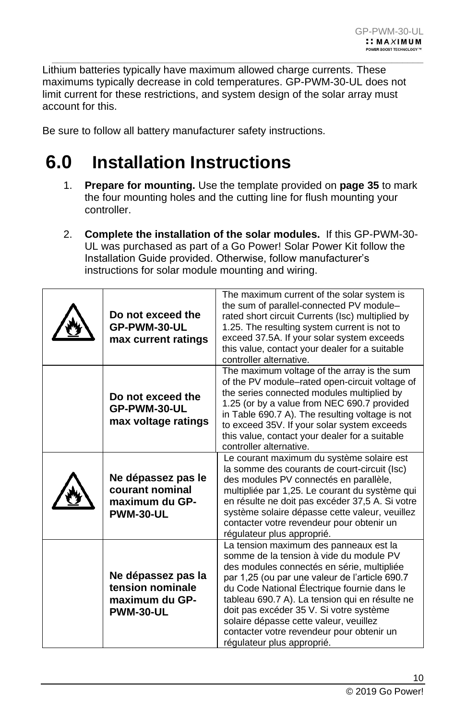Lithium batteries typically have maximum allowed charge currents. These maximums typically decrease in cold temperatures. GP-PWM-30-UL does not limit current for these restrictions, and system design of the solar array must account for this.

 $\_$  , and the set of the set of the set of the set of the set of the set of the set of the set of the set of the set of the set of the set of the set of the set of the set of the set of the set of the set of the set of th

<span id="page-9-0"></span>Be sure to follow all battery manufacturer safety instructions.

## **6.0 Installation Instructions**

- 1. **Prepare for mounting.** Use the template provided on **page 35** to mark the four mounting holes and the cutting line for flush mounting your controller.
- 2. **Complete the installation of the solar modules.** If this GP-PWM-30- UL was purchased as part of a Go Power! Solar Power Kit follow the Installation Guide provided. Otherwise, follow manufacturer's instructions for solar module mounting and wiring.

| Do not exceed the<br>GP-PWM-30-UL<br>max current ratings                     | The maximum current of the solar system is<br>the sum of parallel-connected PV module-<br>rated short circuit Currents (Isc) multiplied by<br>1.25. The resulting system current is not to<br>exceed 37.5A. If your solar system exceeds<br>this value, contact your dealer for a suitable<br>controller alternative.                                                                                                                              |
|------------------------------------------------------------------------------|----------------------------------------------------------------------------------------------------------------------------------------------------------------------------------------------------------------------------------------------------------------------------------------------------------------------------------------------------------------------------------------------------------------------------------------------------|
| Do not exceed the<br>GP-PWM-30-UL<br>max voltage ratings                     | The maximum voltage of the array is the sum<br>of the PV module–rated open-circuit voltage of<br>the series connected modules multiplied by<br>1.25 (or by a value from NEC 690.7 provided<br>in Table 690.7 A). The resulting voltage is not<br>to exceed 35V. If your solar system exceeds<br>this value, contact your dealer for a suitable<br>controller alternative.                                                                          |
| Ne dépassez pas le<br>courant nominal<br>maximum du GP-<br><b>PWM-30-UL</b>  | Le courant maximum du système solaire est<br>la somme des courants de court-circuit (Isc)<br>des modules PV connectés en parallèle,<br>multipliée par 1,25. Le courant du système qui<br>en résulte ne doit pas excéder 37,5 A. Si votre<br>système solaire dépasse cette valeur, veuillez<br>contacter votre revendeur pour obtenir un<br>régulateur plus approprié.                                                                              |
| Ne dépassez pas la<br>tension nominale<br>maximum du GP-<br><b>PWM-30-UL</b> | La tension maximum des panneaux est la<br>somme de la tension à vide du module PV<br>des modules connectés en série, multipliée<br>par 1,25 (ou par une valeur de l'article 690.7<br>du Code National Electrique fournie dans le<br>tableau 690.7 A). La tension qui en résulte ne<br>doit pas excéder 35 V. Si votre système<br>solaire dépasse cette valeur, veuillez<br>contacter votre revendeur pour obtenir un<br>régulateur plus approprié. |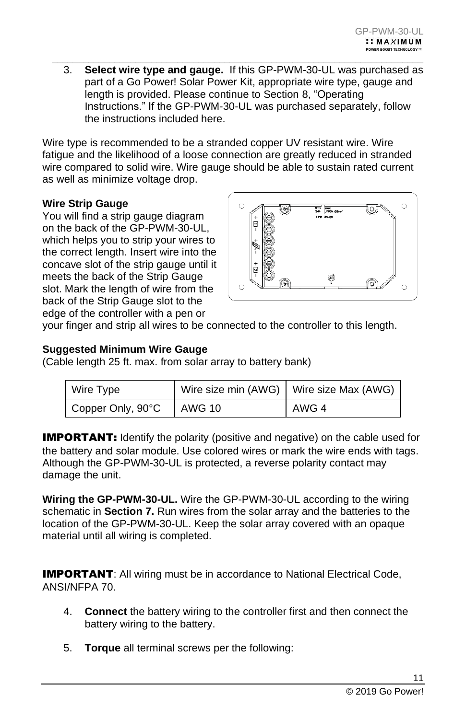3. **Select wire type and gauge.** If this GP-PWM-30-UL was purchased as part of a Go Power! Solar Power Kit, appropriate wire type, gauge and length is provided. Please continue to Section 8, "Operating Instructions." If the GP-PWM-30-UL was purchased separately, follow the instructions included here.

 $\_$  , and the set of the set of the set of the set of the set of the set of the set of the set of the set of the set of the set of the set of the set of the set of the set of the set of the set of the set of the set of th

Wire type is recommended to be a stranded copper UV resistant wire. Wire fatigue and the likelihood of a loose connection are greatly reduced in stranded wire compared to solid wire. Wire gauge should be able to sustain rated current as well as minimize voltage drop.

### **Wire Strip Gauge**

You will find a strip gauge diagram on the back of the GP-PWM-30-UL, which helps you to strip your wires to the correct length. Insert wire into the concave slot of the strip gauge until it meets the back of the Strip Gauge slot. Mark the length of wire from the back of the Strip Gauge slot to the edge of the controller with a pen or



your finger and strip all wires to be connected to the controller to this length.

### **Suggested Minimum Wire Gauge**

(Cable length 25 ft. max. from solar array to battery bank)

| Wire Type         |        | Wire size min (AWG)   Wire size Max (AWG) |
|-------------------|--------|-------------------------------------------|
| Copper Only, 90°C | AWG 10 | AWG 4                                     |

**IMPORTANT:** Identify the polarity (positive and negative) on the cable used for the battery and solar module. Use colored wires or mark the wire ends with tags. Although the GP-PWM-30-UL is protected, a reverse polarity contact may damage the unit.

**Wiring the GP-PWM-30-UL.** Wire the GP-PWM-30-UL according to the wiring schematic in **Section 7.** Run wires from the solar array and the batteries to the location of the GP-PWM-30-UL. Keep the solar array covered with an opaque material until all wiring is completed.

**IMPORTANT:** All wiring must be in accordance to National Electrical Code, ANSI/NFPA 70.

- 4. **Connect** the battery wiring to the controller first and then connect the battery wiring to the battery.
- 5. **Torque** all terminal screws per the following: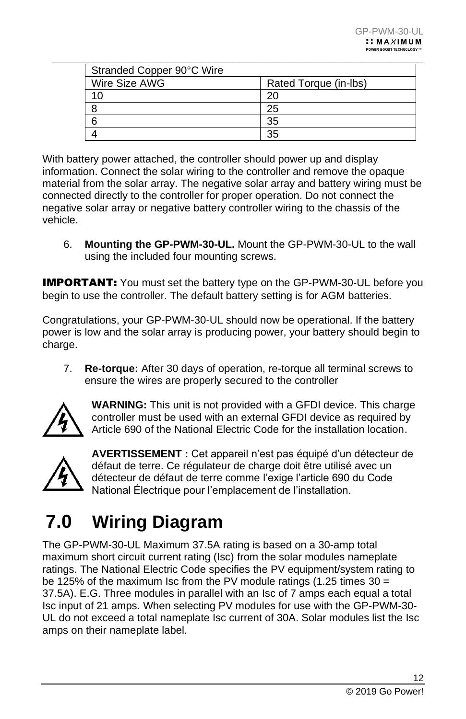| Stranded Copper 90°C Wire |                       |
|---------------------------|-----------------------|
| Wire Size AWG             | Rated Torque (in-lbs) |
|                           |                       |
|                           | 25                    |
|                           | 35                    |
|                           | 35                    |

With battery power attached, the controller should power up and display information. Connect the solar wiring to the controller and remove the opaque material from the solar array. The negative solar array and battery wiring must be connected directly to the controller for proper operation. Do not connect the negative solar array or negative battery controller wiring to the chassis of the vehicle.

6. **Mounting the GP-PWM-30-UL.** Mount the GP-PWM-30-UL to the wall using the included four mounting screws.

**IMPORTANT:** You must set the battery type on the GP-PWM-30-UL before you begin to use the controller. The default battery setting is for AGM batteries.

Congratulations, your GP-PWM-30-UL should now be operational. If the battery power is low and the solar array is producing power, your battery should begin to charge.

7. **Re-torque:** After 30 days of operation, re-torque all terminal screws to ensure the wires are properly secured to the controller



**WARNING:** This unit is not provided with a GFDI device. This charge controller must be used with an external GFDI device as required by Article 690 of the National Electric Code for the installation location.



**AVERTISSEMENT :** Cet appareil n'est pas équipé d'un détecteur de défaut de terre. Ce régulateur de charge doit être utilisé avec un détecteur de défaut de terre comme l'exige l'article 690 du Code National Électrique pour l'emplacement de l'installation.

## <span id="page-11-0"></span>**7.0 Wiring Diagram**

The GP-PWM-30-UL Maximum 37.5A rating is based on a 30-amp total maximum short circuit current rating (Isc) from the solar modules nameplate ratings. The National Electric Code specifies the PV equipment/system rating to be 125% of the maximum Isc from the PV module ratings (1.25 times 30 = 37.5A). E.G. Three modules in parallel with an Isc of 7 amps each equal a total Isc input of 21 amps. When selecting PV modules for use with the GP-PWM-30- UL do not exceed a total nameplate Isc current of 30A. Solar modules list the Isc amps on their nameplate label.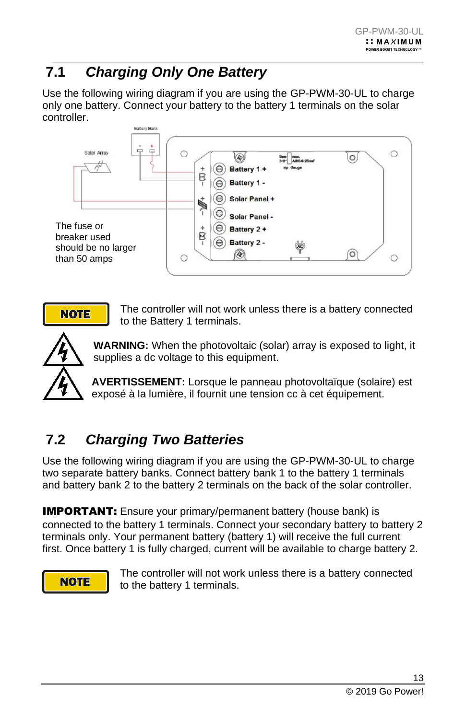### <span id="page-12-0"></span> $\_$  , and the set of the set of the set of the set of the set of the set of the set of the set of the set of the set of the set of the set of the set of the set of the set of the set of the set of the set of the set of th **7.1** *Charging Only One Battery*

Use the following wiring diagram if you are using the GP-PWM-30-UL to charge only one battery. Connect your battery to the battery 1 terminals on the solar controller.



**NOTE** 

The controller will not work unless there is a battery connected to the Battery 1 terminals.



**WARNING:** When the photovoltaic (solar) array is exposed to light, it supplies a dc voltage to this equipment.

**AVERTISSEMENT:** Lorsque le panneau photovoltaïque (solaire) est exposé à la lumière, il fournit une tension cc à cet équipement.

### <span id="page-12-1"></span>**7.2** *Charging Two Batteries*

Use the following wiring diagram if you are using the GP-PWM-30-UL to charge two separate battery banks. Connect battery bank 1 to the battery 1 terminals and battery bank 2 to the battery 2 terminals on the back of the solar controller.

**IMPORTANT:** Ensure your primary/permanent battery (house bank) is connected to the battery 1 terminals. Connect your secondary battery to battery 2 terminals only. Your permanent battery (battery 1) will receive the full current first. Once battery 1 is fully charged, current will be available to charge battery 2.



The controller will not work unless there is a battery connected to the battery 1 terminals.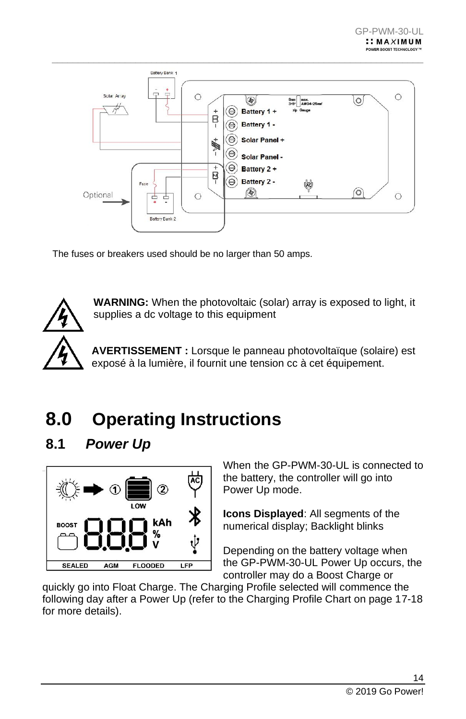

The fuses or breakers used should be no larger than 50 amps.



**WARNING:** When the photovoltaic (solar) array is exposed to light, it supplies a dc voltage to this equipment

**AVERTISSEMENT :** Lorsque le panneau photovoltaïque (solaire) est exposé à la lumière, il fournit une tension cc à cet équipement.

## <span id="page-13-0"></span>**8.0 Operating Instructions**

### <span id="page-13-1"></span>**8.1** *Power Up*



When the GP-PWM-30-UL is connected to the battery, the controller will go into Power Up mode.

**Icons Displayed**: All segments of the numerical display; Backlight blinks

Depending on the battery voltage when the GP-PWM-30-UL Power Up occurs, the controller may do a Boost Charge or

quickly go into Float Charge. The Charging Profile selected will commence the following day after a Power Up (refer to the Charging Profile Chart on page 17-18 for more details).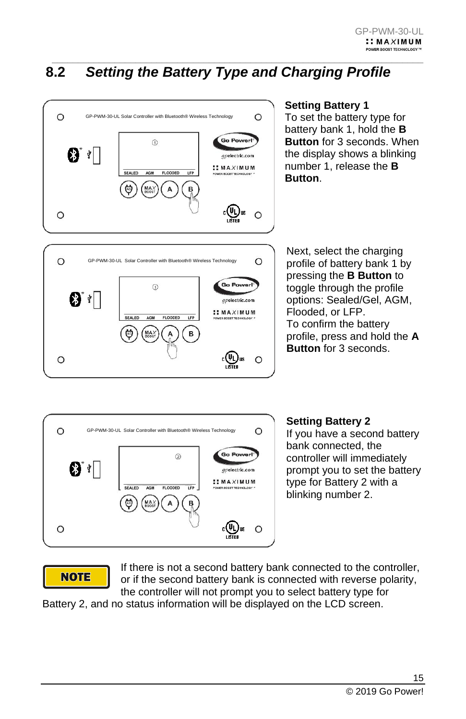### <span id="page-14-0"></span> $\_$  , and the set of the set of the set of the set of the set of the set of the set of the set of the set of the set of the set of the set of the set of the set of the set of the set of the set of the set of the set of th **8.2** *Setting the Battery Type and Charging Profile*



AGM **FLOODED** LFP

 $MAX$ 

A

B

 $c(U_L)$ 

 $\circ$ 

SEALED

O

#### **Setting Battery 1** To set the battery type for battery bank 1, hold the **B Button** for 3 seconds. When the display shows a blinking number 1, release the **B Button**.

Next, select the charging profile of battery bank 1 by pressing the **B Button** to toggle through the profile options: Sealed/Gel, AGM, Flooded, or LFP. To confirm the battery profile, press and hold the **A Button** for 3 seconds.



### **Setting Battery 2**

If you have a second battery bank connected, the controller will immediately prompt you to set the battery type for Battery 2 with a blinking number 2.

### **NOTE**

 $\circ$ 

If there is not a second battery bank connected to the controller, or if the second battery bank is connected with reverse polarity, the controller will not prompt you to select battery type for

Battery 2, and no status information will be displayed on the LCD screen.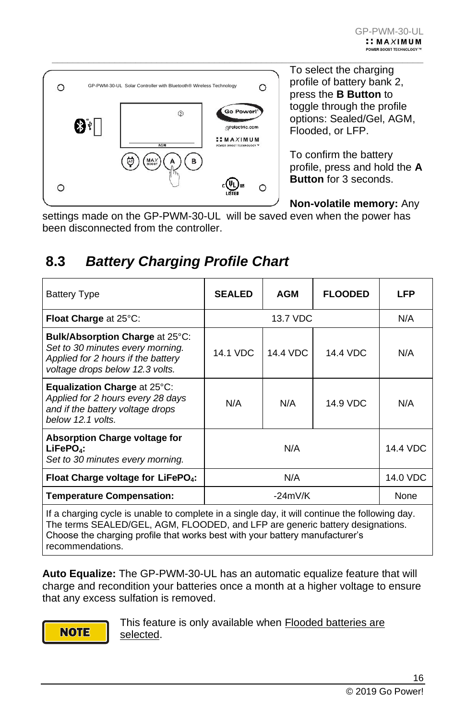

 $\_$  , and the set of the set of the set of the set of the set of the set of the set of the set of the set of the set of the set of the set of the set of the set of the set of the set of the set of the set of the set of th To select the charging profile of battery bank 2, press the **B Button** to toggle through the profile options: Sealed/Gel, AGM, Flooded, or LFP.

> To confirm the battery profile, press and hold the **A Button** for 3 seconds.

**Non-volatile memory:** Any

settings made on the GP-PWM-30-UL will be saved even when the power has been disconnected from the controller.

### <span id="page-15-0"></span>**8.3** *Battery Charging Profile Chart*

| <b>Battery Type</b>                                                                                                                          | <b>SEALED</b>   | <b>AGM</b> | <b>FLOODED</b> | LFP      |
|----------------------------------------------------------------------------------------------------------------------------------------------|-----------------|------------|----------------|----------|
| Float Charge at 25°C:                                                                                                                        |                 | 13.7 VDC   |                | N/A      |
| Bulk/Absorption Charge at 25°C:<br>Set to 30 minutes every morning.<br>Applied for 2 hours if the battery<br>voltage drops below 12.3 volts. | <b>14.1 VDC</b> | 14.4 VDC   | 14.4 VDC       | N/A      |
| Equalization Charge at 25°C:<br>Applied for 2 hours every 28 days<br>and if the battery voltage drops<br>below 12.1 volts.                   | N/A             | N/A        | 14.9 VDC       | N/A      |
| <b>Absorption Charge voltage for</b><br>$LiFePO4$ :<br>Set to 30 minutes every morning.                                                      |                 | N/A        |                | 14.4 VDC |
| Float Charge voltage for LiFePO <sub>4</sub> :                                                                                               | N/A             |            |                | 14.0 VDC |
| <b>Temperature Compensation:</b>                                                                                                             | $-24mV/K$       |            |                | None     |

If a charging cycle is unable to complete in a single day, it will continue the following day. The terms SEALED/GEL, AGM, FLOODED, and LFP are generic battery designations. Choose the charging profile that works best with your battery manufacturer's recommendations.

**Auto Equalize:** The GP-PWM-30-UL has an automatic equalize feature that will charge and recondition your batteries once a month at a higher voltage to ensure that any excess sulfation is removed.

**NOTE** 

This feature is only available when **Flooded batteries are** selected.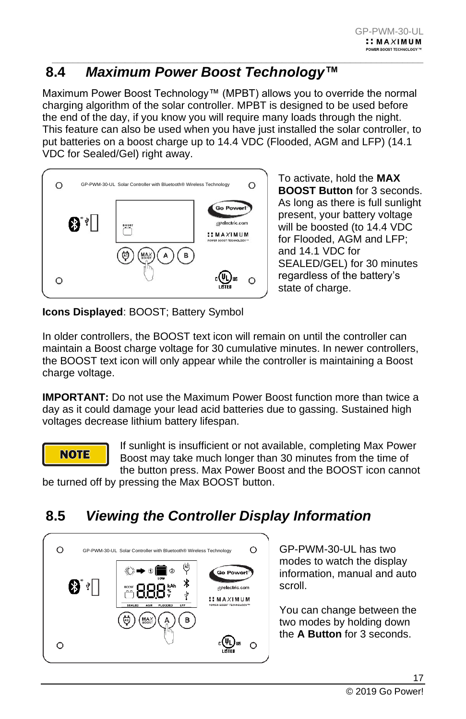### <span id="page-16-0"></span> $\_$  , and the set of the set of the set of the set of the set of the set of the set of the set of the set of the set of the set of the set of the set of the set of the set of the set of the set of the set of the set of th **8.4** *Maximum Power Boost Technology™*

Maximum Power Boost Technology™ (MPBT) allows you to override the normal charging algorithm of the solar controller. MPBT is designed to be used before the end of the day, if you know you will require many loads through the night. This feature can also be used when you have just installed the solar controller, to put batteries on a boost charge up to 14.4 VDC (Flooded, AGM and LFP) (14.1 VDC for Sealed/Gel) right away.



To activate, hold the **MAX BOOST Button** for 3 seconds. As long as there is full sunlight present, your battery voltage will be boosted (to 14.4 VDC for Flooded, AGM and LFP; and 14.1 VDC for SEALED/GEL) for 30 minutes regardless of the battery's state of charge.

**Icons Displayed**: BOOST; Battery Symbol

In older controllers, the BOOST text icon will remain on until the controller can maintain a Boost charge voltage for 30 cumulative minutes. In newer controllers, the BOOST text icon will only appear while the controller is maintaining a Boost charge voltage.

**IMPORTANT:** Do not use the Maximum Power Boost function more than twice a day as it could damage your lead acid batteries due to gassing. Sustained high voltages decrease lithium battery lifespan.

### **NOTE**

If sunlight is insufficient or not available, completing Max Power Boost may take much longer than 30 minutes from the time of the button press. Max Power Boost and the BOOST icon cannot

be turned off by pressing the Max BOOST button.

### <span id="page-16-1"></span>**8.5** *Viewing the Controller Display Information*



GP-PWM-30-UL has two modes to watch the display information, manual and auto scroll.

You can change between the two modes by holding down the **A Button** for 3 seconds.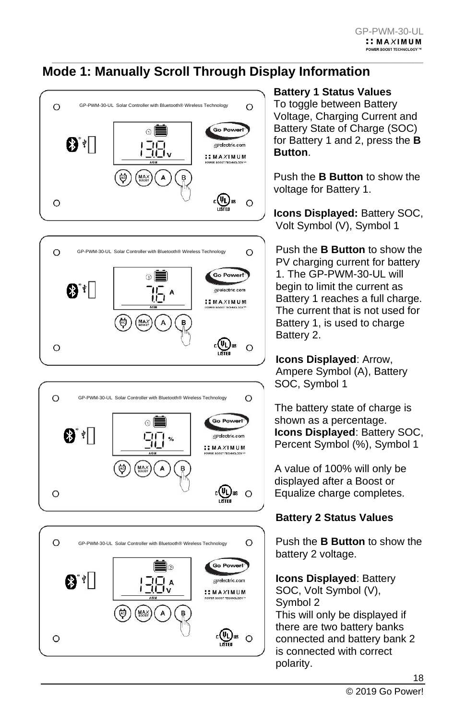#### $\_$  , and the set of the set of the set of the set of the set of the set of the set of the set of the set of the set of the set of the set of the set of the set of the set of the set of the set of the set of the set of th **Mode 1: Manually Scroll Through Display Information**









### **Battery 1 Status Values**

To toggle between Battery Voltage, Charging Current and Battery State of Charge (SOC) for Battery 1 and 2, press the **B Button**.

Push the **B Button** to show the voltage for Battery 1.

**Icons Displayed:** Battery SOC, Volt Symbol (V), Symbol 1

Push the **B Button** to show the PV charging current for battery 1. The GP-PWM-30-UL will begin to limit the current as Battery 1 reaches a full charge. The current that is not used for Battery 1, is used to charge Battery 2.

**Icons Displayed**: Arrow, Ampere Symbol (A), Battery SOC, Symbol 1

The battery state of charge is shown as a percentage. **Icons Displayed**: Battery SOC, Percent Symbol (%), Symbol 1

A value of 100% will only be displayed after a Boost or Equalize charge completes.

### **Battery 2 Status Values**

Push the **B Button** to show the battery 2 voltage.

**Icons Displayed**: Battery SOC, Volt Symbol (V), Symbol 2 This will only be displayed if there are two battery banks connected and battery bank 2 is connected with correct polarity.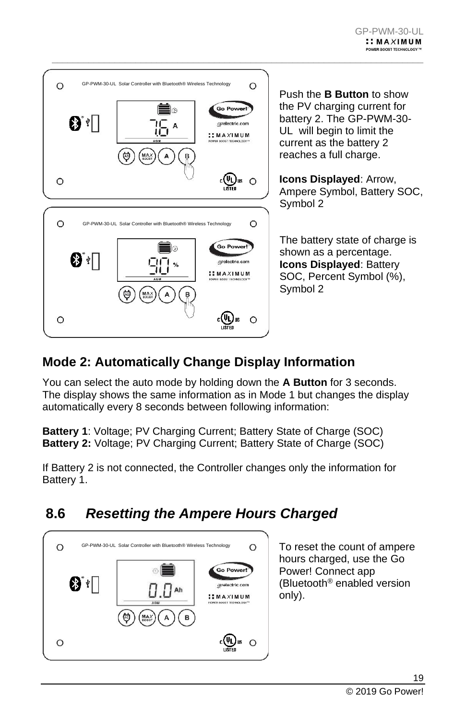

Push the **B Button** to show the PV charging current for battery 2. The GP-PWM-30- UL will begin to limit the current as the battery 2 reaches a full charge.

**Icons Displayed**: Arrow, Ampere Symbol, Battery SOC, Symbol 2

The battery state of charge is shown as a percentage. **Icons Displayed**: Battery SOC, Percent Symbol (%), Symbol 2

### **Mode 2: Automatically Change Display Information**

You can select the auto mode by holding down the **A Button** for 3 seconds. The display shows the same information as in Mode 1 but changes the display automatically every 8 seconds between following information:

 $\_$  , and the set of the set of the set of the set of the set of the set of the set of the set of the set of the set of the set of the set of the set of the set of the set of the set of the set of the set of the set of th

**Battery 1**: Voltage; PV Charging Current; Battery State of Charge (SOC) **Battery 2:** Voltage; PV Charging Current; Battery State of Charge (SOC)

If Battery 2 is not connected, the Controller changes only the information for Battery 1.

### <span id="page-18-0"></span>**8.6** *Resetting the Ampere Hours Charged*



To reset the count of ampere hours charged, use the Go Power! Connect app (Bluetooth® enabled version only).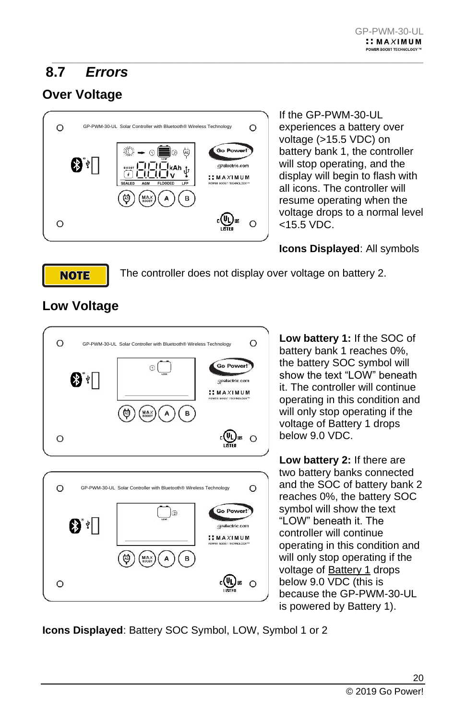### <span id="page-19-0"></span> $\_$  , and the set of the set of the set of the set of the set of the set of the set of the set of the set of the set of the set of the set of the set of the set of the set of the set of the set of the set of the set of th **8.7** *Errors*

### **Over Voltage**



If the GP-PWM-30-UL experiences a battery over voltage (>15.5 VDC) on battery bank 1, the controller will stop operating, and the display will begin to flash with all icons. The controller will resume operating when the voltage drops to a normal level <15.5 VDC.

### **Icons Displayed**: All symbols

The controller does not display over voltage on battery 2.



**Low Voltage**

**NOTE** 

**Low battery 1:** If the SOC of battery bank 1 reaches 0%, the battery SOC symbol will show the text "LOW" beneath it. The controller will continue operating in this condition and will only stop operating if the voltage of Battery 1 drops below 9.0 VDC.

**Low battery 2:** If there are two battery banks connected and the SOC of battery bank 2 reaches 0%, the battery SOC symbol will show the text "LOW" beneath it. The controller will continue operating in this condition and will only stop operating if the voltage of Battery 1 drops below 9.0 VDC (this is because the GP-PWM-30-UL is powered by Battery 1).

**Icons Displayed**: Battery SOC Symbol, LOW, Symbol 1 or 2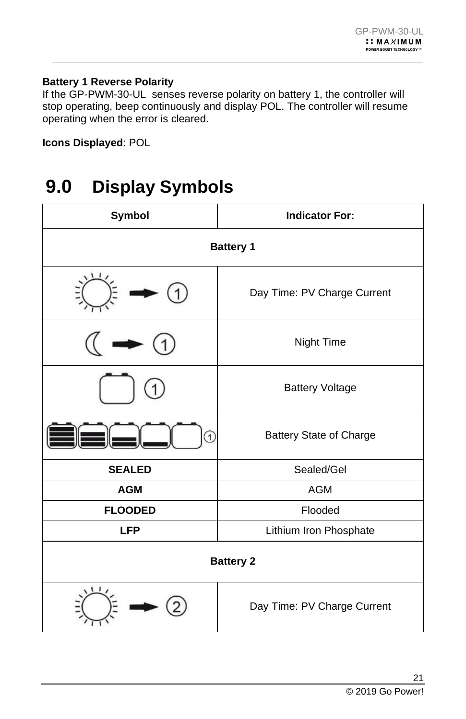### **Battery 1 Reverse Polarity**

If the GP-PWM-30-UL senses reverse polarity on battery 1, the controller will stop operating, beep continuously and display POL. The controller will resume operating when the error is cleared.

 $\_$  , and the set of the set of the set of the set of the set of the set of the set of the set of the set of the set of the set of the set of the set of the set of the set of the set of the set of the set of the set of th

**Icons Displayed**: POL

## <span id="page-20-0"></span>**9.0 Display Symbols**

| Symbol           | <b>Indicator For:</b>          |  |  |  |
|------------------|--------------------------------|--|--|--|
| <b>Battery 1</b> |                                |  |  |  |
|                  | Day Time: PV Charge Current    |  |  |  |
|                  | Night Time                     |  |  |  |
|                  | <b>Battery Voltage</b>         |  |  |  |
| T                | <b>Battery State of Charge</b> |  |  |  |
| <b>SEALED</b>    | Sealed/Gel                     |  |  |  |
| <b>AGM</b>       | <b>AGM</b>                     |  |  |  |
| <b>FLOODED</b>   | Flooded                        |  |  |  |
| <b>LFP</b>       | Lithium Iron Phosphate         |  |  |  |
| <b>Battery 2</b> |                                |  |  |  |
|                  | Day Time: PV Charge Current    |  |  |  |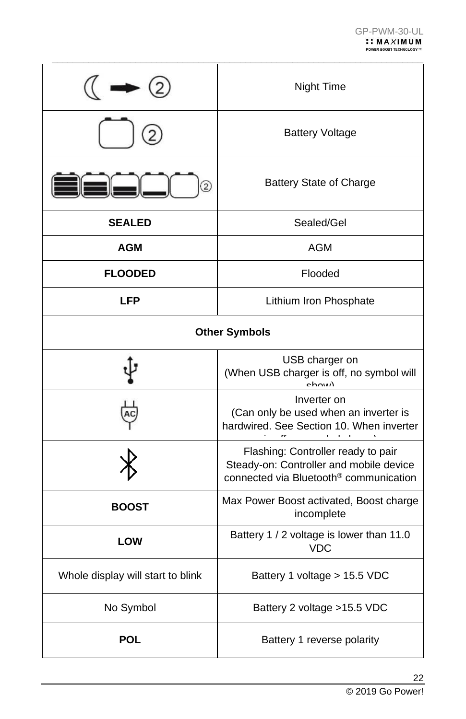|                                                                        | Night Time                                                                                                                          |  |  |  |
|------------------------------------------------------------------------|-------------------------------------------------------------------------------------------------------------------------------------|--|--|--|
|                                                                        | <b>Battery Voltage</b>                                                                                                              |  |  |  |
| $\overline{2}$                                                         | <b>Battery State of Charge</b>                                                                                                      |  |  |  |
| <b>SEALED</b>                                                          | Sealed/Gel                                                                                                                          |  |  |  |
| AGM                                                                    | AGM                                                                                                                                 |  |  |  |
| <b>FLOODED</b>                                                         | Flooded                                                                                                                             |  |  |  |
| <b>LFP</b>                                                             | Lithium Iron Phosphate                                                                                                              |  |  |  |
| <b>Other Symbols</b>                                                   |                                                                                                                                     |  |  |  |
| USB charger on<br>(When USB charger is off, no symbol will<br>$ch_{N}$ |                                                                                                                                     |  |  |  |
|                                                                        | Inverter on<br>(Can only be used when an inverter is<br>hardwired. See Section 10. When inverter                                    |  |  |  |
|                                                                        | Flashing: Controller ready to pair<br>Steady-on: Controller and mobile device<br>connected via Bluetooth <sup>®</sup> communication |  |  |  |
| <b>BOOST</b>                                                           | Max Power Boost activated, Boost charge<br>incomplete                                                                               |  |  |  |
| LOW                                                                    | Battery 1 / 2 voltage is lower than 11.0<br><b>VDC</b>                                                                              |  |  |  |
| Whole display will start to blink                                      | Battery 1 voltage > 15.5 VDC                                                                                                        |  |  |  |
| No Symbol                                                              | Battery 2 voltage > 15.5 VDC                                                                                                        |  |  |  |
| <b>POL</b>                                                             | Battery 1 reverse polarity                                                                                                          |  |  |  |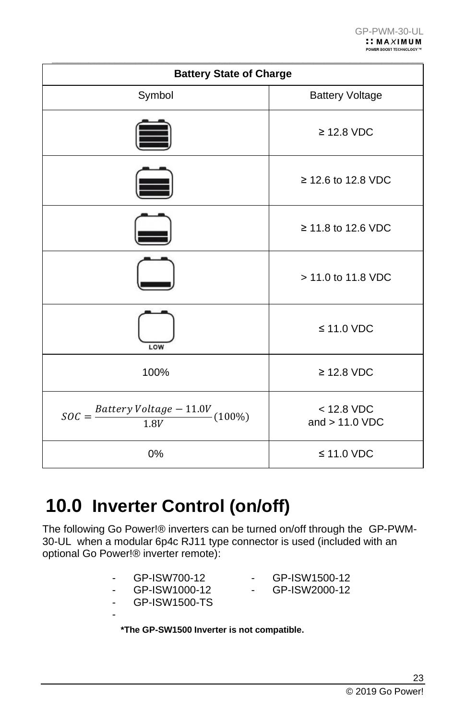| <b>Battery State of Charge</b>                                  |                                  |  |  |  |
|-----------------------------------------------------------------|----------------------------------|--|--|--|
| Symbol                                                          | <b>Battery Voltage</b>           |  |  |  |
|                                                                 | $\geq$ 12.8 VDC                  |  |  |  |
|                                                                 | ≥ 12.6 to 12.8 VDC               |  |  |  |
|                                                                 | ≥ 11.8 to 12.6 VDC               |  |  |  |
|                                                                 | > 11.0 to 11.8 VDC               |  |  |  |
| LOW                                                             | $\leq$ 11.0 VDC                  |  |  |  |
| 100%                                                            | $\geq$ 12.8 VDC                  |  |  |  |
| $SOC = \frac{Battery \, Voltage - 11.0V}{1.0V} (100\%)$<br>1.8V | $<$ 12.8 VDC<br>and $> 11.0$ VDC |  |  |  |
| 0%                                                              | $\leq$ 11.0 VDC                  |  |  |  |

## <span id="page-22-0"></span>**10.0 Inverter Control (on/off)**

The following Go Power!® inverters can be turned on/off through the GP-PWM-30-UL when a modular 6p4c RJ11 type connector is used (included with an optional Go Power!® inverter remote):

| GP-ISW1500-TS<br>*The GP-SW1500 Inverter is not compatible. |               |  |
|-------------------------------------------------------------|---------------|--|
| GP-ISW1000-12                                               | GP-ISW2000-12 |  |
| GP-ISW700-12                                                | GP-ISW1500-12 |  |
|                                                             |               |  |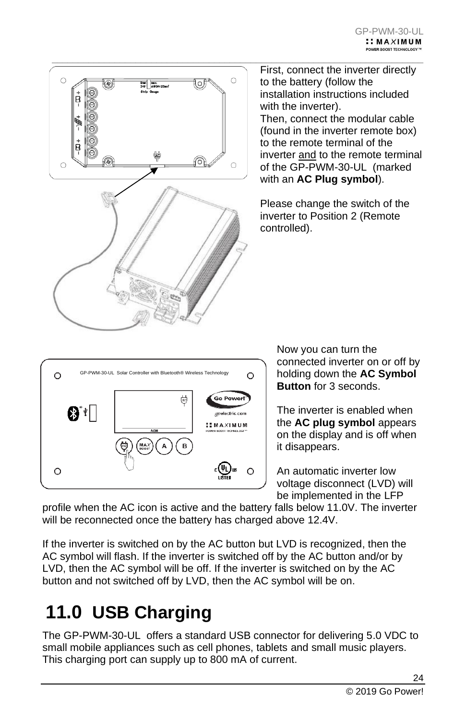

 $\_$  , and the set of the set of the set of the set of the set of the set of the set of the set of the set of the set of the set of the set of the set of the set of the set of the set of the set of the set of the set of th First, connect the inverter directly to the battery (follow the installation instructions included with the inverter). Then, connect the modular cable (found in the inverter remote box) to the remote terminal of the inverter and to the remote terminal of the GP-PWM-30-UL (marked with an **AC Plug symbol**).

> Please change the switch of the inverter to Position 2 (Remote controlled).

> > Now you can turn the connected inverter on or off by holding down the **AC Symbol Button** for 3 seconds.

The inverter is enabled when the **AC plug symbol** appears on the display and is off when it disappears.

An automatic inverter low voltage disconnect (LVD) will be implemented in the LFP

profile when the AC icon is active and the battery falls below 11.0V. The inverter will be reconnected once the battery has charged above 12.4V.

շ(ԿԼ) lus

 $\circ$ 

If the inverter is switched on by the AC button but LVD is recognized, then the AC symbol will flash. If the inverter is switched off by the AC button and/or by LVD, then the AC symbol will be off. If the inverter is switched on by the AC button and not switched off by LVD, then the AC symbol will be on.

## <span id="page-23-0"></span>**11.0 USB Charging**

 $\circ$ 

The GP-PWM-30-UL offers a standard USB connector for delivering 5.0 VDC to small mobile appliances such as cell phones, tablets and small music players. This charging port can supply up to 800 mA of current.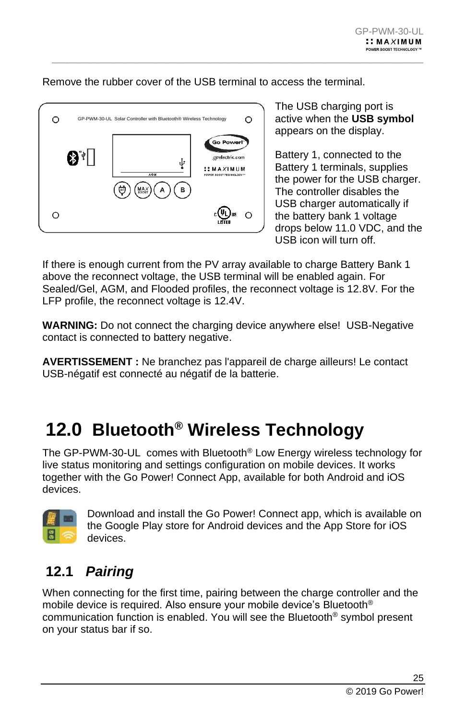Remove the rubber cover of the USB terminal to access the terminal.

 $\_$  , and the set of the set of the set of the set of the set of the set of the set of the set of the set of the set of the set of the set of the set of the set of the set of the set of the set of the set of the set of th



The USB charging port is active when the **USB symbol** appears on the display.

Battery 1, connected to the Battery 1 terminals, supplies the power for the USB charger. The controller disables the USB charger automatically if the battery bank 1 voltage drops below 11.0 VDC, and the USB icon will turn off.

If there is enough current from the PV array available to charge Battery Bank 1 above the reconnect voltage, the USB terminal will be enabled again. For Sealed/Gel, AGM, and Flooded profiles, the reconnect voltage is 12.8V. For the LFP profile, the reconnect voltage is 12.4V.

**WARNING:** Do not connect the charging device anywhere else! USB-Negative contact is connected to battery negative.

**AVERTISSEMENT :** Ne branchez pas l'appareil de charge ailleurs! Le contact USB-négatif est connecté au négatif de la batterie.

## <span id="page-24-0"></span>**12.0 Bluetooth® Wireless Technology**

The GP-PWM-30-UL comes with Bluetooth® Low Energy wireless technology for live status monitoring and settings configuration on mobile devices. It works together with the Go Power! Connect App, available for both Android and iOS devices.



Download and install the Go Power! Connect app, which is available on the Google Play store for Android devices and the App Store for iOS devices.

### <span id="page-24-1"></span>**12.1** *Pairing*

When connecting for the first time, pairing between the charge controller and the mobile device is required. Also ensure your mobile device's Bluetooth® communication function is enabled. You will see the Bluetooth® symbol present on your status bar if so.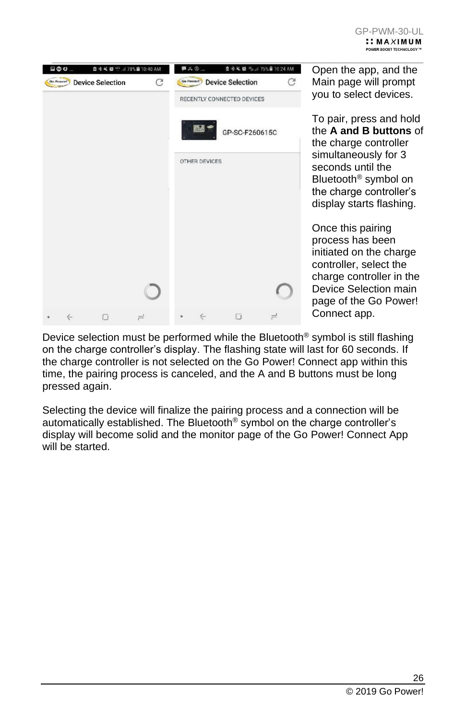| $\bullet$                                       | 图卡从图 % 176% ■ 10:24 AM<br>■ X ② … |   |                                                                                                                                                                          |  |
|-------------------------------------------------|-----------------------------------|---|--------------------------------------------------------------------------------------------------------------------------------------------------------------------------|--|
| 自幸吴婆!! 478%自10:40 AM<br><b>Device Selection</b> | <b>Device Selection</b>           | C | Open the app, and the<br>Main page will prompt<br>you to select devices.                                                                                                 |  |
|                                                 | RECENTLY CONNECTED DEVICES        |   |                                                                                                                                                                          |  |
|                                                 | GP-SC-F260615C                    |   | To pair, press and hold<br>the A and B buttons of<br>the charge controller                                                                                               |  |
|                                                 | OTHER DEVICES                     |   | simultaneously for 3<br>seconds until the<br>Bluetooth <sup>®</sup> symbol on<br>the charge controller's<br>display starts flashing.                                     |  |
|                                                 |                                   |   | Once this pairing<br>process has been<br>initiated on the charge<br>controller, select the<br>charge controller in the<br>Device Selection main<br>page of the Go Power! |  |
|                                                 |                                   |   | Connect app.                                                                                                                                                             |  |

Device selection must be performed while the Bluetooth<sup>®</sup> symbol is still flashing on the charge controller's display. The flashing state will last for 60 seconds. If the charge controller is not selected on the Go Power! Connect app within this time, the pairing process is canceled, and the A and B buttons must be long pressed again.

Selecting the device will finalize the pairing process and a connection will be automatically established. The Bluetooth<sup>®</sup> symbol on the charge controller's display will become solid and the monitor page of the Go Power! Connect App will be started.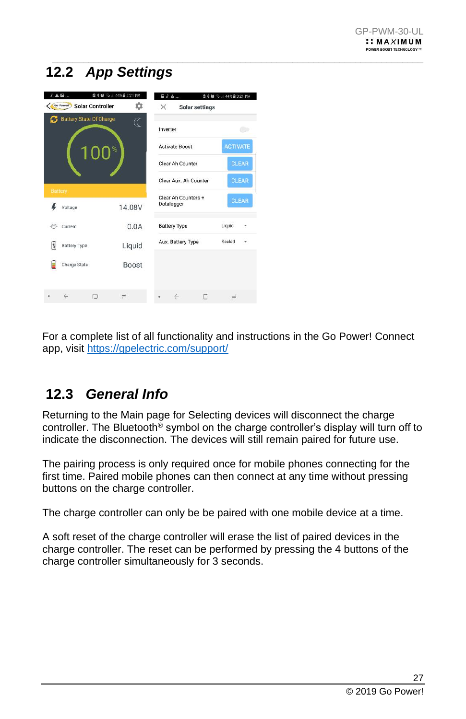### <span id="page-26-0"></span> $\_$  , and the set of the set of the set of the set of the set of the set of the set of the set of the set of the set of the set of the set of the set of the set of the set of the set of the set of the set of the set of th **12.2** *App Settings*

|                | $\delta$ A $\Xi$<br>Go Powert  | 自 % @ % ≤ 44% @ 3:21 PM<br>森<br><b>Solar Controller</b> | $\times$ | $\Box$ $\delta$ $\Delta$          | <b>Solar settings</b> | <b>自 * @ 元 ,』44%自 3:21 PM</b> |              |
|----------------|--------------------------------|---------------------------------------------------------|----------|-----------------------------------|-----------------------|-------------------------------|--------------|
|                | <b>Battery State Of Charge</b> | Œ                                                       |          | Inverter                          |                       |                               |              |
|                |                                | %<br>10                                                 |          | <b>Activate Boost</b>             |                       | <b>ACTIVATE</b>               |              |
|                |                                |                                                         |          | Clear Ah Counter                  |                       |                               | <b>CLEAR</b> |
|                |                                |                                                         |          | Clear Aux. Ah Counter             |                       |                               | <b>CLEAR</b> |
| <b>Battery</b> | Voltage                        | 14.08V                                                  |          | Clear Ah Counters +<br>Datalogger |                       |                               | <b>CLEAR</b> |
| €£             | Current                        | 0.0A                                                    |          | <b>Battery Type</b>               |                       | Liquid                        |              |
| 同              | <b>Battery Type</b>            | Liquid                                                  |          | Aux. Battery Type                 |                       | Sealed                        |              |
|                | Charge State                   | <b>Boost</b>                                            |          |                                   |                       |                               |              |
|                | $\leftarrow$                   | 匝<br>$\rightleftharpoons$                               |          | $\leftarrow$                      | σ                     | $\rightleftharpoons$          |              |

For a complete list of all functionality and instructions in the Go Power! Connect app, visit<https://gpelectric.com/support/>

### <span id="page-26-1"></span>**12.3** *General Info*

Returning to the Main page for Selecting devices will disconnect the charge controller. The Bluetooth<sup>®</sup> symbol on the charge controller's display will turn off to indicate the disconnection. The devices will still remain paired for future use.

The pairing process is only required once for mobile phones connecting for the first time. Paired mobile phones can then connect at any time without pressing buttons on the charge controller.

The charge controller can only be be paired with one mobile device at a time.

A soft reset of the charge controller will erase the list of paired devices in the charge controller. The reset can be performed by pressing the 4 buttons of the charge controller simultaneously for 3 seconds.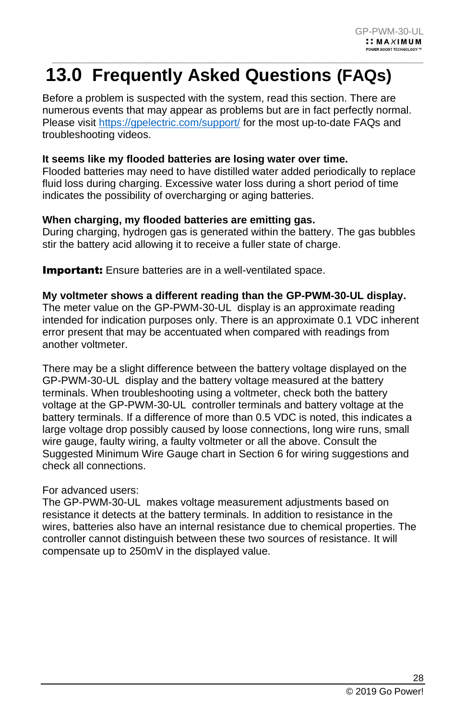### <span id="page-27-0"></span> $\_$  , and the set of the set of the set of the set of the set of the set of the set of the set of the set of the set of the set of the set of the set of the set of the set of the set of the set of the set of the set of th **13.0 Frequently Asked Questions (FAQs)**

Before a problem is suspected with the system, read this section. There are numerous events that may appear as problems but are in fact perfectly normal. Please visit<https://gpelectric.com/support/> for the most up-to-date FAQs and troubleshooting videos.

### **It seems like my flooded batteries are losing water over time.**

Flooded batteries may need to have distilled water added periodically to replace fluid loss during charging. Excessive water loss during a short period of time indicates the possibility of overcharging or aging batteries.

### **When charging, my flooded batteries are emitting gas.**

During charging, hydrogen gas is generated within the battery. The gas bubbles stir the battery acid allowing it to receive a fuller state of charge.

**Important:** Ensure batteries are in a well-ventilated space.

#### **My voltmeter shows a different reading than the GP-PWM-30-UL display.**

The meter value on the GP-PWM-30-UL display is an approximate reading intended for indication purposes only. There is an approximate 0.1 VDC inherent error present that may be accentuated when compared with readings from another voltmeter.

There may be a slight difference between the battery voltage displayed on the GP-PWM-30-UL display and the battery voltage measured at the battery terminals. When troubleshooting using a voltmeter, check both the battery voltage at the GP-PWM-30-UL controller terminals and battery voltage at the battery terminals. If a difference of more than 0.5 VDC is noted, this indicates a large voltage drop possibly caused by loose connections, long wire runs, small wire gauge, faulty wiring, a faulty voltmeter or all the above. Consult the Suggested Minimum Wire Gauge chart in Section 6 for wiring suggestions and check all connections.

#### For advanced users:

The GP-PWM-30-UL makes voltage measurement adjustments based on resistance it detects at the battery terminals. In addition to resistance in the wires, batteries also have an internal resistance due to chemical properties. The controller cannot distinguish between these two sources of resistance. It will compensate up to 250mV in the displayed value.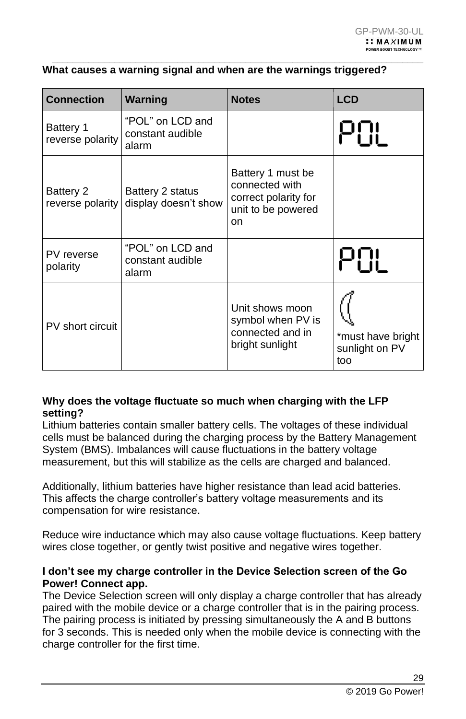#### **What causes a warning signal and when are the warnings triggered?**

 $\_$  , and the set of the set of the set of the set of the set of the set of the set of the set of the set of the set of the set of the set of the set of the set of the set of the set of the set of the set of the set of th

| <b>Connection</b>                    | Warning                                       | <b>Notes</b>                                                                            | <b>LCD</b>                                 |
|--------------------------------------|-----------------------------------------------|-----------------------------------------------------------------------------------------|--------------------------------------------|
| <b>Battery 1</b><br>reverse polarity | "POL" on LCD and<br>constant audible<br>alarm |                                                                                         |                                            |
| Battery 2<br>reverse polarity        | Battery 2 status<br>display doesn't show      | Battery 1 must be<br>connected with<br>correct polarity for<br>unit to be powered<br>on |                                            |
| PV reverse<br>polarity               | "POL" on LCD and<br>constant audible<br>alarm |                                                                                         | 21 II                                      |
| PV short circuit                     |                                               | Unit shows moon<br>symbol when PV is<br>connected and in<br>bright sunlight             | *must have bright<br>sunlight on PV<br>too |

#### **Why does the voltage fluctuate so much when charging with the LFP setting?**

Lithium batteries contain smaller battery cells. The voltages of these individual cells must be balanced during the charging process by the Battery Management System (BMS). Imbalances will cause fluctuations in the battery voltage measurement, but this will stabilize as the cells are charged and balanced.

Additionally, lithium batteries have higher resistance than lead acid batteries. This affects the charge controller's battery voltage measurements and its compensation for wire resistance.

Reduce wire inductance which may also cause voltage fluctuations. Keep battery wires close together, or gently twist positive and negative wires together.

#### **I don't see my charge controller in the Device Selection screen of the Go Power! Connect app.**

The Device Selection screen will only display a charge controller that has already paired with the mobile device or a charge controller that is in the pairing process. The pairing process is initiated by pressing simultaneously the A and B buttons for 3 seconds. This is needed only when the mobile device is connecting with the charge controller for the first time.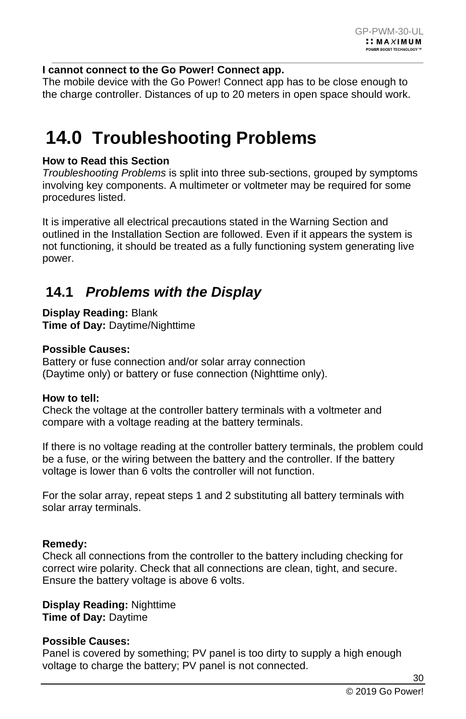#### **I cannot connect to the Go Power! Connect app.**

The mobile device with the Go Power! Connect app has to be close enough to the charge controller. Distances of up to 20 meters in open space should work.

 $\_$  , and the set of the set of the set of the set of the set of the set of the set of the set of the set of the set of the set of the set of the set of the set of the set of the set of the set of the set of the set of th

## <span id="page-29-0"></span>**14.0 Troubleshooting Problems**

#### **How to Read this Section**

*Troubleshooting Problems* is split into three sub-sections, grouped by symptoms involving key components. A multimeter or voltmeter may be required for some procedures listed.

It is imperative all electrical precautions stated in the Warning Section and outlined in the Installation Section are followed. Even if it appears the system is not functioning, it should be treated as a fully functioning system generating live power.

### <span id="page-29-1"></span>**14.1** *Problems with the Display*

**Display Reading:** Blank **Time of Day:** Daytime/Nighttime

#### **Possible Causes:**

Battery or fuse connection and/or solar array connection (Daytime only) or battery or fuse connection (Nighttime only).

#### **How to tell:**

Check the voltage at the controller battery terminals with a voltmeter and compare with a voltage reading at the battery terminals.

If there is no voltage reading at the controller battery terminals, the problem could be a fuse, or the wiring between the battery and the controller. If the battery voltage is lower than 6 volts the controller will not function.

For the solar array, repeat steps 1 and 2 substituting all battery terminals with solar array terminals.

#### **Remedy:**

Check all connections from the controller to the battery including checking for correct wire polarity. Check that all connections are clean, tight, and secure. Ensure the battery voltage is above 6 volts.

#### **Display Reading:** Nighttime **Time of Day:** Daytime

#### **Possible Causes:**

Panel is covered by something; PV panel is too dirty to supply a high enough voltage to charge the battery; PV panel is not connected.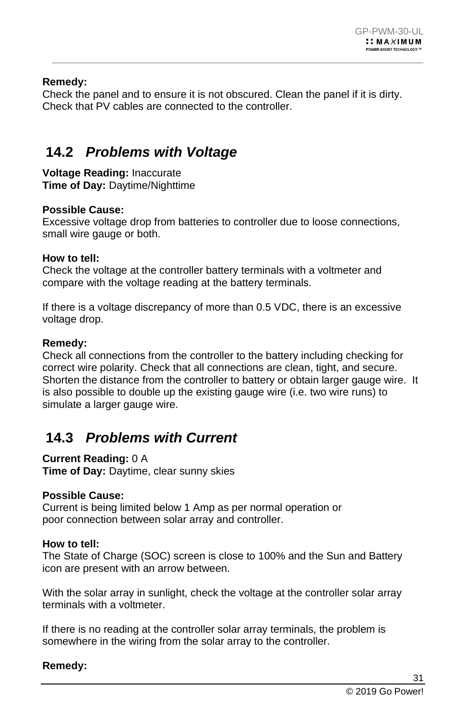### **Remedy:**

Check the panel and to ensure it is not obscured. Clean the panel if it is dirty. Check that PV cables are connected to the controller.

 $\_$  , and the set of the set of the set of the set of the set of the set of the set of the set of the set of the set of the set of the set of the set of the set of the set of the set of the set of the set of the set of th

### <span id="page-30-0"></span>**14.2** *Problems with Voltage*

**Voltage Reading:** Inaccurate **Time of Day:** Daytime/Nighttime

#### **Possible Cause:**

Excessive voltage drop from batteries to controller due to loose connections, small wire gauge or both.

#### **How to tell:**

Check the voltage at the controller battery terminals with a voltmeter and compare with the voltage reading at the battery terminals.

If there is a voltage discrepancy of more than 0.5 VDC, there is an excessive voltage drop.

#### **Remedy:**

Check all connections from the controller to the battery including checking for correct wire polarity. Check that all connections are clean, tight, and secure. Shorten the distance from the controller to battery or obtain larger gauge wire. It is also possible to double up the existing gauge wire (i.e. two wire runs) to simulate a larger gauge wire.

### <span id="page-30-1"></span>**14.3** *Problems with Current*

#### **Current Reading:** 0 A

**Time of Day:** Daytime, clear sunny skies

#### **Possible Cause:**

Current is being limited below 1 Amp as per normal operation or poor connection between solar array and controller.

#### **How to tell:**

The State of Charge (SOC) screen is close to 100% and the Sun and Battery icon are present with an arrow between.

With the solar array in sunlight, check the voltage at the controller solar array terminals with a voltmeter.

If there is no reading at the controller solar array terminals, the problem is somewhere in the wiring from the solar array to the controller.

#### **Remedy:**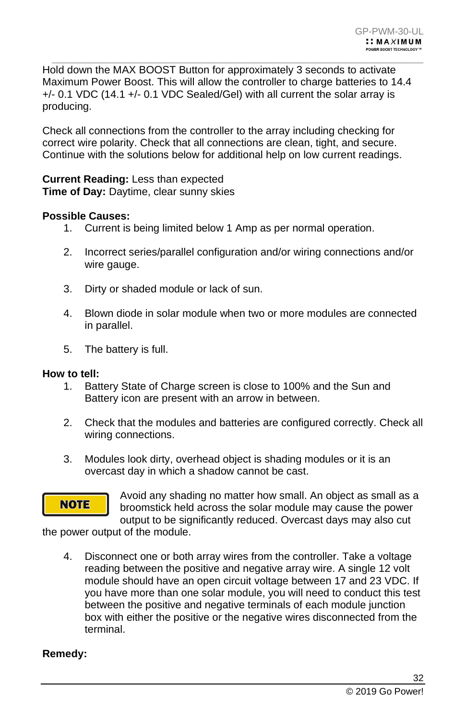Hold down the MAX BOOST Button for approximately 3 seconds to activate Maximum Power Boost. This will allow the controller to charge batteries to 14.4 +/- 0.1 VDC (14.1 +/- 0.1 VDC Sealed/Gel) with all current the solar array is producing.

 $\_$  , and the set of the set of the set of the set of the set of the set of the set of the set of the set of the set of the set of the set of the set of the set of the set of the set of the set of the set of the set of th

Check all connections from the controller to the array including checking for correct wire polarity. Check that all connections are clean, tight, and secure. Continue with the solutions below for additional help on low current readings.

**Current Reading:** Less than expected **Time of Day:** Daytime, clear sunny skies

#### **Possible Causes:**

- 1. Current is being limited below 1 Amp as per normal operation.
- 2. Incorrect series/parallel configuration and/or wiring connections and/or wire gauge.
- 3. Dirty or shaded module or lack of sun.
- 4. Blown diode in solar module when two or more modules are connected in parallel.
- 5. The battery is full.

#### **How to tell:**

- 1. Battery State of Charge screen is close to 100% and the Sun and Battery icon are present with an arrow in between.
- 2. Check that the modules and batteries are configured correctly. Check all wiring connections.
- 3. Modules look dirty, overhead object is shading modules or it is an overcast day in which a shadow cannot be cast.



Avoid any shading no matter how small. An object as small as a broomstick held across the solar module may cause the power output to be significantly reduced. Overcast days may also cut

the power output of the module.

4. Disconnect one or both array wires from the controller. Take a voltage reading between the positive and negative array wire. A single 12 volt module should have an open circuit voltage between 17 and 23 VDC. If you have more than one solar module, you will need to conduct this test between the positive and negative terminals of each module junction box with either the positive or the negative wires disconnected from the terminal.

#### **Remedy:**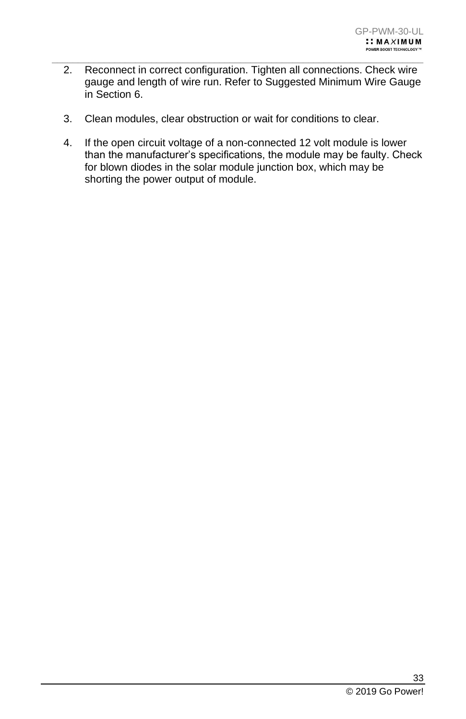2. Reconnect in correct configuration. Tighten all connections. Check wire gauge and length of wire run. Refer to Suggested Minimum Wire Gauge in Section 6.

 $\_$  , and the set of the set of the set of the set of the set of the set of the set of the set of the set of the set of the set of the set of the set of the set of the set of the set of the set of the set of the set of th

- 3. Clean modules, clear obstruction or wait for conditions to clear.
- 4. If the open circuit voltage of a non-connected 12 volt module is lower than the manufacturer's specifications, the module may be faulty. Check for blown diodes in the solar module junction box, which may be shorting the power output of module.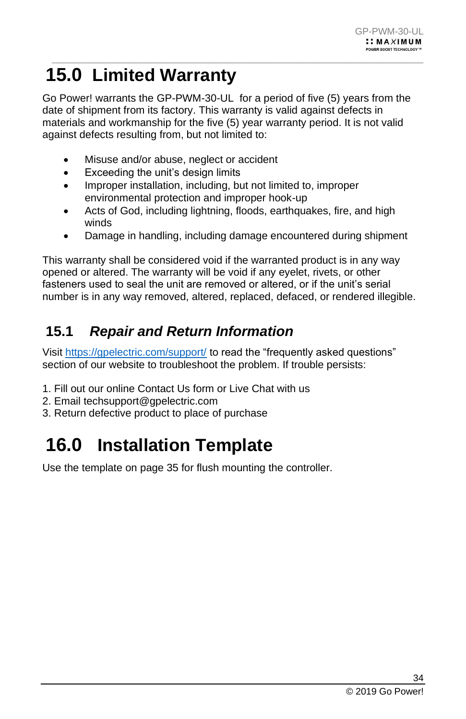### <span id="page-33-0"></span> $\_$  , and the set of the set of the set of the set of the set of the set of the set of the set of the set of the set of the set of the set of the set of the set of the set of the set of the set of the set of the set of th **15.0 Limited Warranty**

Go Power! warrants the GP-PWM-30-UL for a period of five (5) years from the date of shipment from its factory. This warranty is valid against defects in materials and workmanship for the five (5) year warranty period. It is not valid against defects resulting from, but not limited to:

- Misuse and/or abuse, neglect or accident
- Exceeding the unit's design limits
- Improper installation, including, but not limited to, improper environmental protection and improper hook-up
- Acts of God, including lightning, floods, earthquakes, fire, and high winds
- Damage in handling, including damage encountered during shipment

This warranty shall be considered void if the warranted product is in any way opened or altered. The warranty will be void if any eyelet, rivets, or other fasteners used to seal the unit are removed or altered, or if the unit's serial number is in any way removed, altered, replaced, defaced, or rendered illegible.

### <span id="page-33-1"></span>**15.1** *Repair and Return Information*

Visi[t https://gpelectric.com/support/](https://gpelectric.com/support/) to read the "frequently asked questions" section of our website to troubleshoot the problem. If trouble persists:

- 1. Fill out our online Contact Us form or Live Chat with us
- 2. Email techsupport@gpelectric.com
- 3. Return defective product to place of purchase

## <span id="page-33-2"></span>**16.0 Installation Template**

Use the template on page 35 for flush mounting the controller.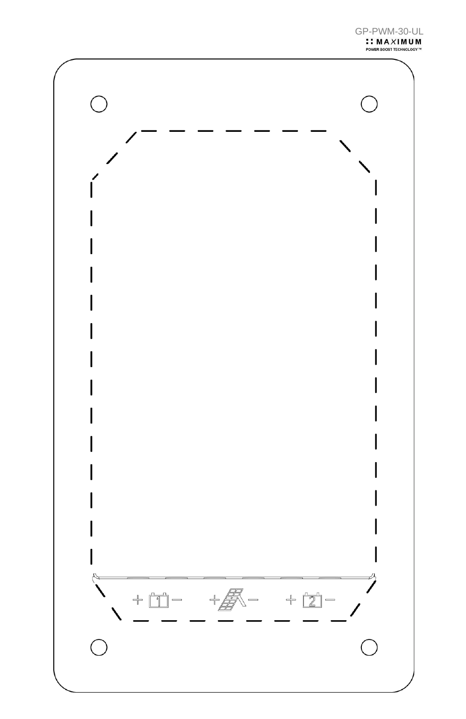